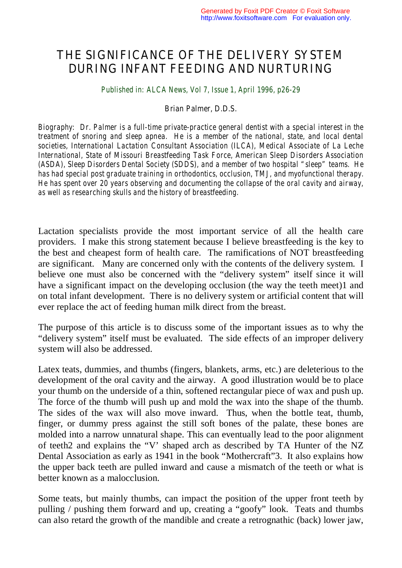## THE SIGNIFICANCE OF THE DELIVERY SYSTEM DURING INFANT FEEDING AND NURTURING

*Published in: ALCA News, Vol 7, Issue 1, April 1996, p26-29*

## *Brian Palmer, D.D.S.*

*Biography: Dr. Palmer is a full-time private-practice general dentist with a special interest in the treatment of snoring and sleep apnea. He is a member of the national, state, and local dental societies, International Lactation Consultant Association (ILCA), Medical Associate of La Leche International, State of Missouri Breastfeeding Task Force, American Sleep Disorders Association (ASDA), Sleep Disorders Dental Society (SDDS), and a member of two hospital "sleep" teams. He has had special post graduate training in orthodontics, occlusion, TMJ, and myofunctional therapy. He has spent over 20 years observing and documenting the collapse of the oral cavity and airway, as well as researching skulls and the history of breastfeeding.* 

Lactation specialists provide the most important service of all the health care providers. I make this strong statement because I believe breastfeeding is the key to the best and cheapest form of health care. The ramifications of NOT breastfeeding are significant. Many are concerned only with the contents of the delivery system. I believe one must also be concerned with the "delivery system" itself since it will have a significant impact on the developing occlusion (the way the teeth meet)1 and on total infant development. There is no delivery system or artificial content that will ever replace the act of feeding human milk direct from the breast.

The purpose of this article is to discuss some of the important issues as to why the "delivery system" itself must be evaluated. The side effects of an improper delivery system will also be addressed.

Latex teats, dummies, and thumbs (fingers, blankets, arms, etc.) are deleterious to the development of the oral cavity and the airway. A good illustration would be to place your thumb on the underside of a thin, softened rectangular piece of wax and push up. The force of the thumb will push up and mold the wax into the shape of the thumb. The sides of the wax will also move inward. Thus, when the bottle teat, thumb, finger, or dummy press against the still soft bones of the palate, these bones are molded into a narrow unnatural shape. This can eventually lead to the poor alignment of teeth2 and explains the "V' shaped arch as described by TA Hunter of the NZ Dental Association as early as 1941 in the book "Mothercraft"3. It also explains how the upper back teeth are pulled inward and cause a mismatch of the teeth or what is better known as a malocclusion.

Some teats, but mainly thumbs, can impact the position of the upper front teeth by pulling / pushing them forward and up, creating a "goofy" look. Teats and thumbs can also retard the growth of the mandible and create a retrognathic (back) lower jaw,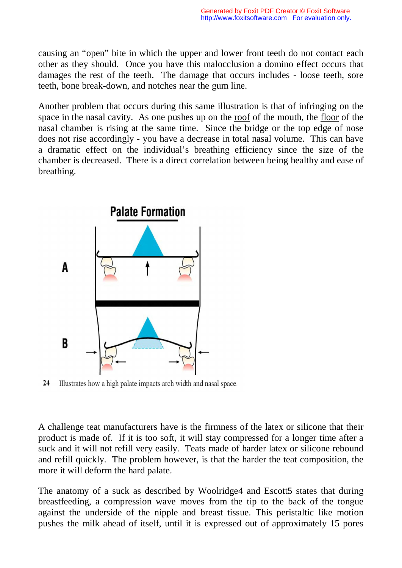causing an "open" bite in which the upper and lower front teeth do not contact each other as they should. Once you have this malocclusion a domino effect occurs that damages the rest of the teeth. The damage that occurs includes - loose teeth, sore teeth, bone break-down, and notches near the gum line.

Another problem that occurs during this same illustration is that of infringing on the space in the nasal cavity. As one pushes up on the roof of the mouth, the floor of the nasal chamber is rising at the same time. Since the bridge or the top edge of nose does not rise accordingly - you have a decrease in total nasal volume. This can have a dramatic effect on the individual's breathing efficiency since the size of the chamber is decreased. There is a direct correlation between being healthy and ease of breathing.



24 Illustrates how a high palate impacts arch width and nasal space.

A challenge teat manufacturers have is the firmness of the latex or silicone that their product is made of. If it is too soft, it will stay compressed for a longer time after a suck and it will not refill very easily. Teats made of harder latex or silicone rebound and refill quickly. The problem however, is that the harder the teat composition, the more it will deform the hard palate.

The anatomy of a suck as described by Woolridge4 and Escott5 states that during breastfeeding, a compression wave moves from the tip to the back of the tongue against the underside of the nipple and breast tissue. This peristaltic like motion pushes the milk ahead of itself, until it is expressed out of approximately 15 pores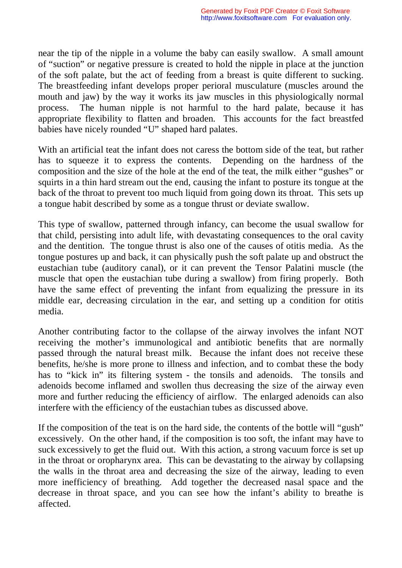near the tip of the nipple in a volume the baby can easily swallow. A small amount of "suction" or negative pressure is created to hold the nipple in place at the junction of the soft palate, but the act of feeding from a breast is quite different to sucking. The breastfeeding infant develops proper perioral musculature (muscles around the mouth and jaw) by the way it works its jaw muscles in this physiologically normal process. The human nipple is not harmful to the hard palate, because it has appropriate flexibility to flatten and broaden. This accounts for the fact breastfed babies have nicely rounded "U" shaped hard palates.

With an artificial teat the infant does not caress the bottom side of the teat, but rather has to squeeze it to express the contents. Depending on the hardness of the composition and the size of the hole at the end of the teat, the milk either "gushes" or squirts in a thin hard stream out the end, causing the infant to posture its tongue at the back of the throat to prevent too much liquid from going down its throat. This sets up a tongue habit described by some as a tongue thrust or deviate swallow.

This type of swallow, patterned through infancy, can become the usual swallow for that child, persisting into adult life, with devastating consequences to the oral cavity and the dentition. The tongue thrust is also one of the causes of otitis media. As the tongue postures up and back, it can physically push the soft palate up and obstruct the eustachian tube (auditory canal), or it can prevent the Tensor Palatini muscle (the muscle that open the eustachian tube during a swallow) from firing properly. Both have the same effect of preventing the infant from equalizing the pressure in its middle ear, decreasing circulation in the ear, and setting up a condition for otitis media.

Another contributing factor to the collapse of the airway involves the infant NOT receiving the mother's immunological and antibiotic benefits that are normally passed through the natural breast milk. Because the infant does not receive these benefits, he/she is more prone to illness and infection, and to combat these the body has to "kick in" its filtering system - the tonsils and adenoids. The tonsils and adenoids become inflamed and swollen thus decreasing the size of the airway even more and further reducing the efficiency of airflow. The enlarged adenoids can also interfere with the efficiency of the eustachian tubes as discussed above.

If the composition of the teat is on the hard side, the contents of the bottle will "gush" excessively. On the other hand, if the composition is too soft, the infant may have to suck excessively to get the fluid out. With this action, a strong vacuum force is set up in the throat or oropharynx area. This can be devastating to the airway by collapsing the walls in the throat area and decreasing the size of the airway, leading to even more inefficiency of breathing. Add together the decreased nasal space and the decrease in throat space, and you can see how the infant's ability to breathe is affected.